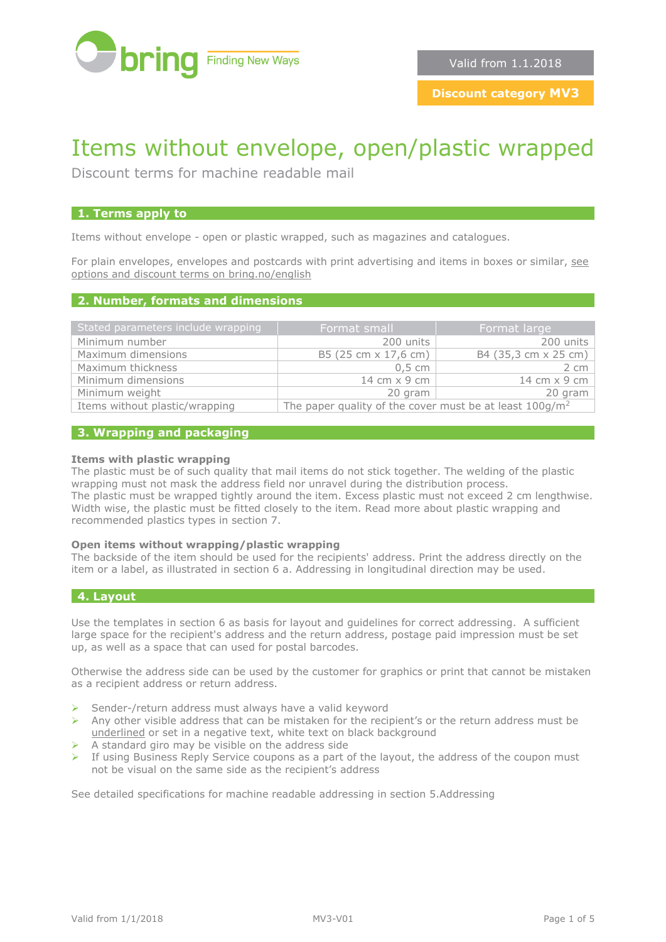

# Items without envelope, open/plastic wrapped

Discount terms for machine readable mail

## **1. Terms apply to**

Items without envelope - open or plastic wrapped, such as magazines and catalogues.

For plain envelopes, envelopes and postcards with print advertising and items in boxes or similar, [see](http://www.bring.no/english/terms-and-conditions/mail/mail-identical-formats/discount-terms-machine-readable-mail)  [options and discount terms on bring.no/english](http://www.bring.no/english/terms-and-conditions/mail/mail-identical-formats/discount-terms-machine-readable-mail)

## **2. Number, formats and dimensions**

| Stated parameters include wrapping | Format small                                               | Format large         |
|------------------------------------|------------------------------------------------------------|----------------------|
| Minimum number                     | 200 units                                                  | 200 units            |
| Maximum dimensions                 | B5 (25 cm x 17,6 cm)                                       | B4 (35,3 cm x 25 cm) |
| Maximum thickness                  | $0.5 \, \mathrm{cm}$                                       | 2 cm                 |
| Minimum dimensions                 | 14 cm x 9 cm                                               | 14 cm $\times$ 9 cm  |
| Minimum weight                     | 20 gram                                                    | 20 gram              |
| Items without plastic/wrapping     | The paper quality of the cover must be at least $100g/m^2$ |                      |

#### **3. Wrapping and packaging**

#### **Items with plastic wrapping**

The plastic must be of such quality that mail items do not stick together. The welding of the plastic wrapping must not mask the address field nor unravel during the distribution process. The plastic must be wrapped tightly around the item. Excess plastic must not exceed 2 cm lengthwise. Width wise, the plastic must be fitted closely to the item. Read more about plastic wrapping and recommended plastics types in section 7.

#### **Open items without wrapping/plastic wrapping**

The backside of the item should be used for the recipients' address. Print the address directly on the item or a label, as illustrated in section 6 a. Addressing in longitudinal direction may be used.

## **4. Layout**

Use the templates in section 6 as basis for layout and guidelines for correct addressing. A sufficient large space for the recipient's address and the return address, postage paid impression must be set up, as well as a space that can used for postal barcodes.

Otherwise the address side can be used by the customer for graphics or print that cannot be mistaken as a recipient address or return address.

- ➢ Sender-/return address must always have a valid keyword
- $\triangleright$  Any other visible address that can be mistaken for the recipient's or the return address must be underlined or set in a negative text, white text on black background
- ➢ A standard giro may be visible on the address side
- $\triangleright$  If using Business Reply Service coupons as a part of the layout, the address of the coupon must not be visual on the same side as the recipient's address

See detailed specifications for machine readable addressing in section 5.Addressing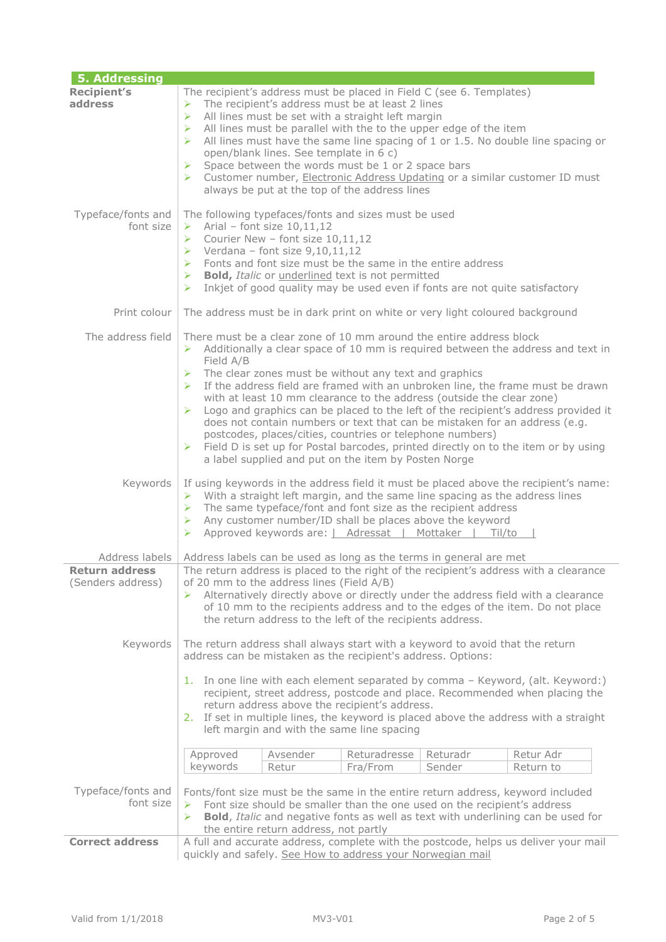| <b>5. Addressing</b>                       |                                                                                                                                                                                                                                                                                                                                                                                                                                                                                                                                                                                                                                                                                                                                                                                                        |  |  |  |  |
|--------------------------------------------|--------------------------------------------------------------------------------------------------------------------------------------------------------------------------------------------------------------------------------------------------------------------------------------------------------------------------------------------------------------------------------------------------------------------------------------------------------------------------------------------------------------------------------------------------------------------------------------------------------------------------------------------------------------------------------------------------------------------------------------------------------------------------------------------------------|--|--|--|--|
| <b>Recipient's</b><br>address              | The recipient's address must be placed in Field C (see 6. Templates)<br>The recipient's address must be at least 2 lines<br>$\blacktriangleright$<br>All lines must be set with a straight left margin<br>➤<br>All lines must be parallel with the to the upper edge of the item<br>⋗<br>All lines must have the same line spacing of 1 or 1.5. No double line spacing or<br>⋗<br>open/blank lines. See template in 6 c)<br>Space between the words must be 1 or 2 space bars<br>➤<br>Customer number, Electronic Address Updating or a similar customer ID must<br>➤<br>always be put at the top of the address lines                                                                                                                                                                                 |  |  |  |  |
| Typeface/fonts and<br>font size            | The following typefaces/fonts and sizes must be used<br>$\triangleright$ Arial - font size 10,11,12<br>> Courier New - font size $10,11,12$<br>$\triangleright$ Verdana - font size 9,10,11,12<br>$\triangleright$ Fonts and font size must be the same in the entire address<br>> Bold, Italic or underlined text is not permitted<br>Inkjet of good quality may be used even if fonts are not quite satisfactory<br>➤                                                                                                                                                                                                                                                                                                                                                                                |  |  |  |  |
| Print colour                               | The address must be in dark print on white or very light coloured background                                                                                                                                                                                                                                                                                                                                                                                                                                                                                                                                                                                                                                                                                                                           |  |  |  |  |
| The address field                          | There must be a clear zone of 10 mm around the entire address block<br>Additionally a clear space of 10 mm is required between the address and text in<br>≻<br>Field A/B<br>The clear zones must be without any text and graphics<br>If the address field are framed with an unbroken line, the frame must be drawn<br>➤<br>with at least 10 mm clearance to the address (outside the clear zone)<br>$\triangleright$ Logo and graphics can be placed to the left of the recipient's address provided it<br>does not contain numbers or text that can be mistaken for an address (e.g.<br>postcodes, places/cities, countries or telephone numbers)<br>Field D is set up for Postal barcodes, printed directly on to the item or by using<br>➤<br>a label supplied and put on the item by Posten Norge |  |  |  |  |
| Keywords                                   | If using keywords in the address field it must be placed above the recipient's name:<br>$\triangleright$ With a straight left margin, and the same line spacing as the address lines<br>$\triangleright$ The same typeface/font and font size as the recipient address<br>$\triangleright$ Any customer number/ID shall be places above the keyword<br>Approved keywords are:   Adressat   Mottaker   Til/to                                                                                                                                                                                                                                                                                                                                                                                           |  |  |  |  |
| Address labels                             | Address labels can be used as long as the terms in general are met                                                                                                                                                                                                                                                                                                                                                                                                                                                                                                                                                                                                                                                                                                                                     |  |  |  |  |
| <b>Return address</b><br>(Senders address) | The return address is placed to the right of the recipient's address with a clearance<br>of 20 mm to the address lines (Field A/B)<br>Alternatively directly above or directly under the address field with a clearance<br>of 10 mm to the recipients address and to the edges of the item. Do not place<br>the return address to the left of the recipients address.                                                                                                                                                                                                                                                                                                                                                                                                                                  |  |  |  |  |
| Keywords                                   | The return address shall always start with a keyword to avoid that the return<br>address can be mistaken as the recipient's address. Options:<br>In one line with each element separated by comma - Keyword, (alt. Keyword:)<br>1.<br>recipient, street address, postcode and place. Recommended when placing the<br>return address above the recipient's address.<br>2. If set in multiple lines, the keyword is placed above the address with a straight<br>left margin and with the same line spacing                                                                                                                                                                                                                                                                                               |  |  |  |  |
|                                            | Approved<br>Avsender<br>Returadresse<br>Returadr<br>Retur Adr                                                                                                                                                                                                                                                                                                                                                                                                                                                                                                                                                                                                                                                                                                                                          |  |  |  |  |
|                                            | keywords<br>Sender<br>Retur<br>Return to<br>Fra/From                                                                                                                                                                                                                                                                                                                                                                                                                                                                                                                                                                                                                                                                                                                                                   |  |  |  |  |
| Typeface/fonts and<br>font size            | Fonts/font size must be the same in the entire return address, keyword included<br>Font size should be smaller than the one used on the recipient's address<br>➤<br><b>Bold, Italic and negative fonts as well as text with underlining can be used for</b><br>⋗<br>the entire return address, not partly                                                                                                                                                                                                                                                                                                                                                                                                                                                                                              |  |  |  |  |
| <b>Correct address</b>                     | A full and accurate address, complete with the postcode, helps us deliver your mail                                                                                                                                                                                                                                                                                                                                                                                                                                                                                                                                                                                                                                                                                                                    |  |  |  |  |
|                                            | quickly and safely. See How to address your Norwegian mail                                                                                                                                                                                                                                                                                                                                                                                                                                                                                                                                                                                                                                                                                                                                             |  |  |  |  |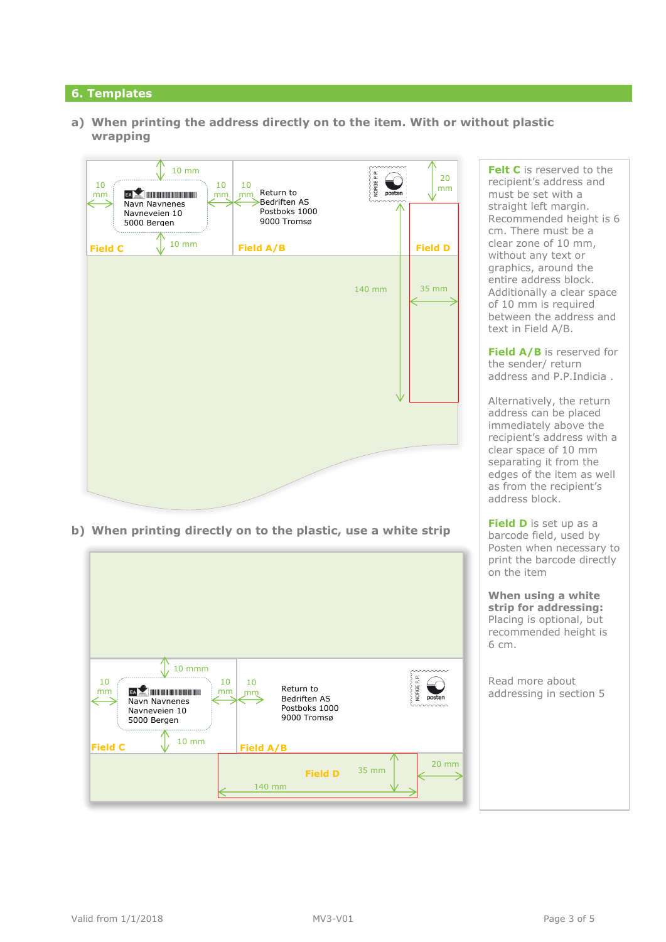# **6. Templates**

**a) When printing the address directly on to the item. With or without plastic wrapping**



**b) When printing directly on to the plastic, use a white strip**



**Felt C** is reserved to the recipient's address and must be set with a straight left margin. Recommended height is 6 cm. There must be a clear zone of 10 mm, without any text or graphics, around the entire address block. Additionally a clear space of 10 mm is required between the address and text in Field A/B.

**Field A/B** is reserved for the sender/ return address and P.P.Indicia .

Alternatively, the return address can be placed immediately above the recipient's address with a clear space of 10 mm separating it from the edges of the item as well as from the recipient's address block.

**Field D** is set up as a barcode field, used by Posten when necessary to print the barcode directly on the item

**When using a white strip for addressing:**  Placing is optional, but recommended height is 6 cm.

Read more about addressing in section 5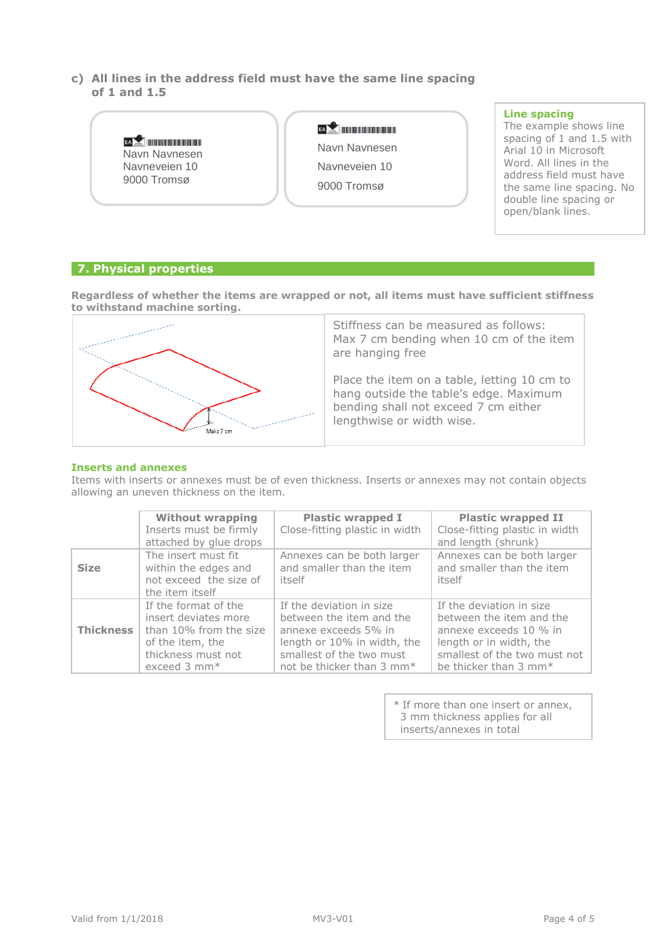**c) All lines in the address field must have the same line spacing of 1 and 1.5**

|                                                     |               | Line spacing                                        |
|-----------------------------------------------------|---------------|-----------------------------------------------------|
|                                                     | EA            | The example shows line                              |
| EA<br>Navn Navnesen<br>Navneveien 10<br>9000 Tromsø | Navn Navnesen | spacing of 1 and 1.5 with<br>Arial 10 in Microsoft  |
|                                                     | Navneveien 10 | Word, All lines in the<br>address field must have   |
|                                                     | 9000 Tromsø   | the same line spacing. No<br>double line spacing or |
|                                                     |               | open/blank lines.                                   |

# **7. Physical properties**

**Regardless of whether the items are wrapped or not, all items must have sufficient stiffness to withstand machine sorting.**



Stiffness can be measured as follows: Max 7 cm bending when 10 cm of the item are hanging free

Place the item on a table, letting 10 cm to hang outside the table's edge. Maximum bending shall not exceed 7 cm either lengthwise or width wise.

#### **Inserts and annexes**

Items with inserts or annexes must be of even thickness. Inserts or annexes may not contain objects allowing an uneven thickness on the item.

|                  | <b>Without wrapping</b><br>Inserts must be firmly<br>attached by glue drops                                                           | <b>Plastic wrapped I</b><br>Close-fitting plastic in width                                                                                                                       | <b>Plastic wrapped II</b><br>Close-fitting plastic in width<br>and length (shrunk)                                                                                             |
|------------------|---------------------------------------------------------------------------------------------------------------------------------------|----------------------------------------------------------------------------------------------------------------------------------------------------------------------------------|--------------------------------------------------------------------------------------------------------------------------------------------------------------------------------|
| <b>Size</b>      | The insert must fit<br>within the edges and<br>not exceed the size of<br>the item itself                                              | Annexes can be both larger<br>and smaller than the item<br>itself                                                                                                                | Annexes can be both larger<br>and smaller than the item<br>itself                                                                                                              |
| <b>Thickness</b> | If the format of the<br>insert deviates more<br>than 10% from the size<br>of the item, the<br>thickness must not<br>exceed $3$ mm $*$ | If the deviation in size<br>between the item and the<br>annexe exceeds 5% in<br>length or 10% in width, the<br>smallest of the two must<br>not be thicker than 3 mm <sup>*</sup> | If the deviation in size<br>between the item and the<br>annexe exceeds 10 % in<br>length or in width, the<br>smallest of the two must not<br>be thicker than 3 mm <sup>*</sup> |

\* If more than one insert or annex, 3 mm thickness applies for all inserts/annexes in total